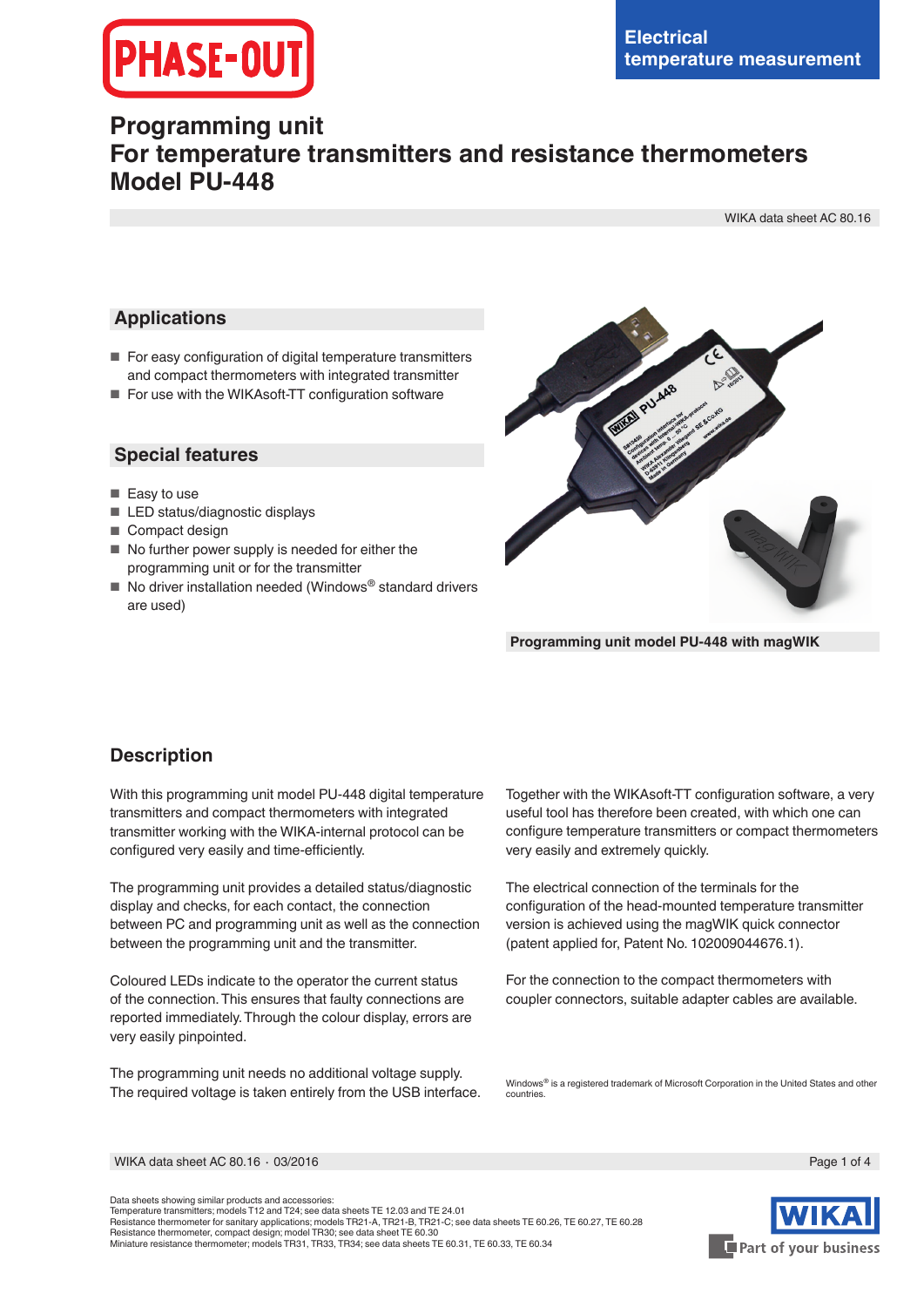# **PHASE-OUT**

## **Programming unit For temperature transmitters and resistance thermometers Model PU-448**

WIKA data sheet AC 80.16

#### **Applications**

- For easy configuration of digital temperature transmitters and compact thermometers with integrated transmitter
- For use with the WIKAsoft-TT configuration software

#### **Special features**

- Easy to use
- LED status/diagnostic displays
- Compact design
- No further power supply is needed for either the programming unit or for the transmitter
- No driver installation needed (Windows<sup>®</sup> standard drivers are used)



**Programming unit model PU-448 with magWIK**

### **Description**

With this programming unit model PU-448 digital temperature transmitters and compact thermometers with integrated transmitter working with the WIKA-internal protocol can be configured very easily and time-efficiently.

The programming unit provides a detailed status/diagnostic display and checks, for each contact, the connection between PC and programming unit as well as the connection between the programming unit and the transmitter.

Coloured LEDs indicate to the operator the current status of the connection. This ensures that faulty connections are reported immediately. Through the colour display, errors are very easily pinpointed.

The programming unit needs no additional voltage supply. The required voltage is taken entirely from the USB interface. Together with the WIKAsoft-TT configuration software, a very useful tool has therefore been created, with which one can configure temperature transmitters or compact thermometers very easily and extremely quickly.

The electrical connection of the terminals for the configuration of the head-mounted temperature transmitter version is achieved using the magWIK quick connector (patent applied for, Patent No. 102009044676.1).

For the connection to the compact thermometers with coupler connectors, suitable adapter cables are available.

Windows® is a registered trademark of Microsoft Corporation in the United States and other countries.

WIKA data sheet AC 80.16 ⋅ 03/2016 Page 1 of 4

Data sheets showing similar products and accessories: Temperature transmitters; models T12 and T24; see data sheets TE 12.03 and TE 24.01 Resistance thermometer for sanitary applications; models TR21-A, TR21-B, TR21-C; see data sheets TE 60.26, TE 60.27, TE 60.28<br>Resistance thermometer, compact design; model TR30; see data sheet TE 60.30 Miniature resistance thermometer; models TR31, TR33, TR34; see data sheets TE 60.31, TE 60.33, TE 60.34

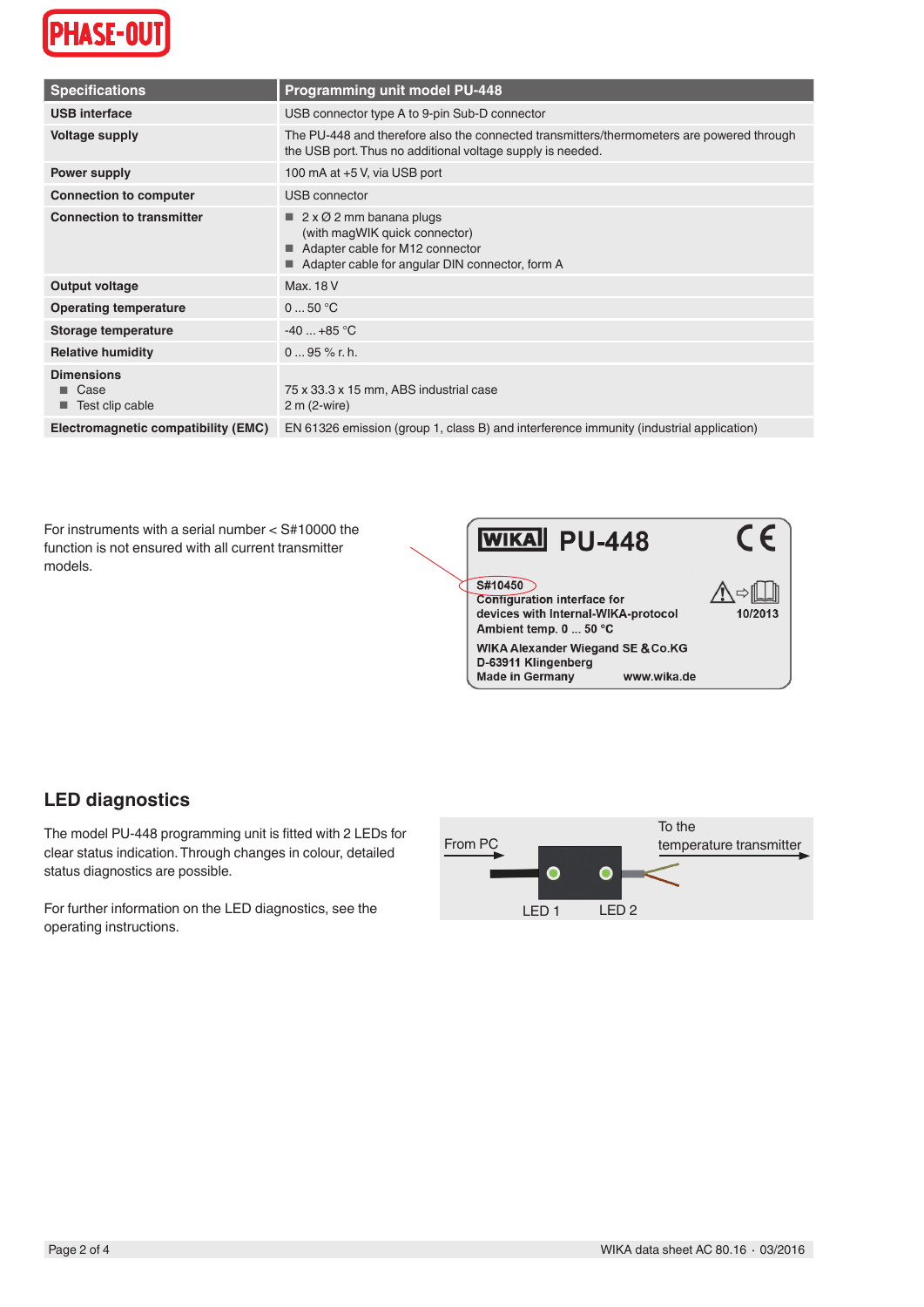

| <b>Specifications</b>                               | <b>Programming unit model PU-448</b>                                                                                                                          |
|-----------------------------------------------------|---------------------------------------------------------------------------------------------------------------------------------------------------------------|
|                                                     |                                                                                                                                                               |
| <b>USB</b> interface                                | USB connector type A to 9-pin Sub-D connector                                                                                                                 |
| <b>Voltage supply</b>                               | The PU-448 and therefore also the connected transmitters/thermometers are powered through<br>the USB port. Thus no additional voltage supply is needed.       |
| Power supply                                        | 100 mA at +5 V, via USB port                                                                                                                                  |
| <b>Connection to computer</b>                       | USB connector                                                                                                                                                 |
| <b>Connection to transmitter</b>                    | $\blacksquare$ 2 x Ø 2 mm banana plugs<br>(with magWIK quick connector)<br>Adapter cable for M12 connector<br>Adapter cable for angular DIN connector, form A |
| Output voltage                                      | Max. 18 V                                                                                                                                                     |
| <b>Operating temperature</b>                        | 050 °C                                                                                                                                                        |
| Storage temperature                                 | $-40+85$ °C                                                                                                                                                   |
| <b>Relative humidity</b>                            | $095%$ r.h.                                                                                                                                                   |
| <b>Dimensions</b><br>$\Box$ Case<br>Test clip cable | 75 x 33.3 x 15 mm, ABS industrial case<br>$2 m (2-wire)$                                                                                                      |
| Electromagnetic compatibility (EMC)                 | EN 61326 emission (group 1, class B) and interference immunity (industrial application)                                                                       |

For instruments with a serial number < S#10000 the function is not ensured with all current transmitter models.



## **LED diagnostics**

The model PU-448 programming unit is fitted with 2 LEDs for clear status indication. Through changes in colour, detailed status diagnostics are possible.

For further information on the LED diagnostics, see the operating instructions.

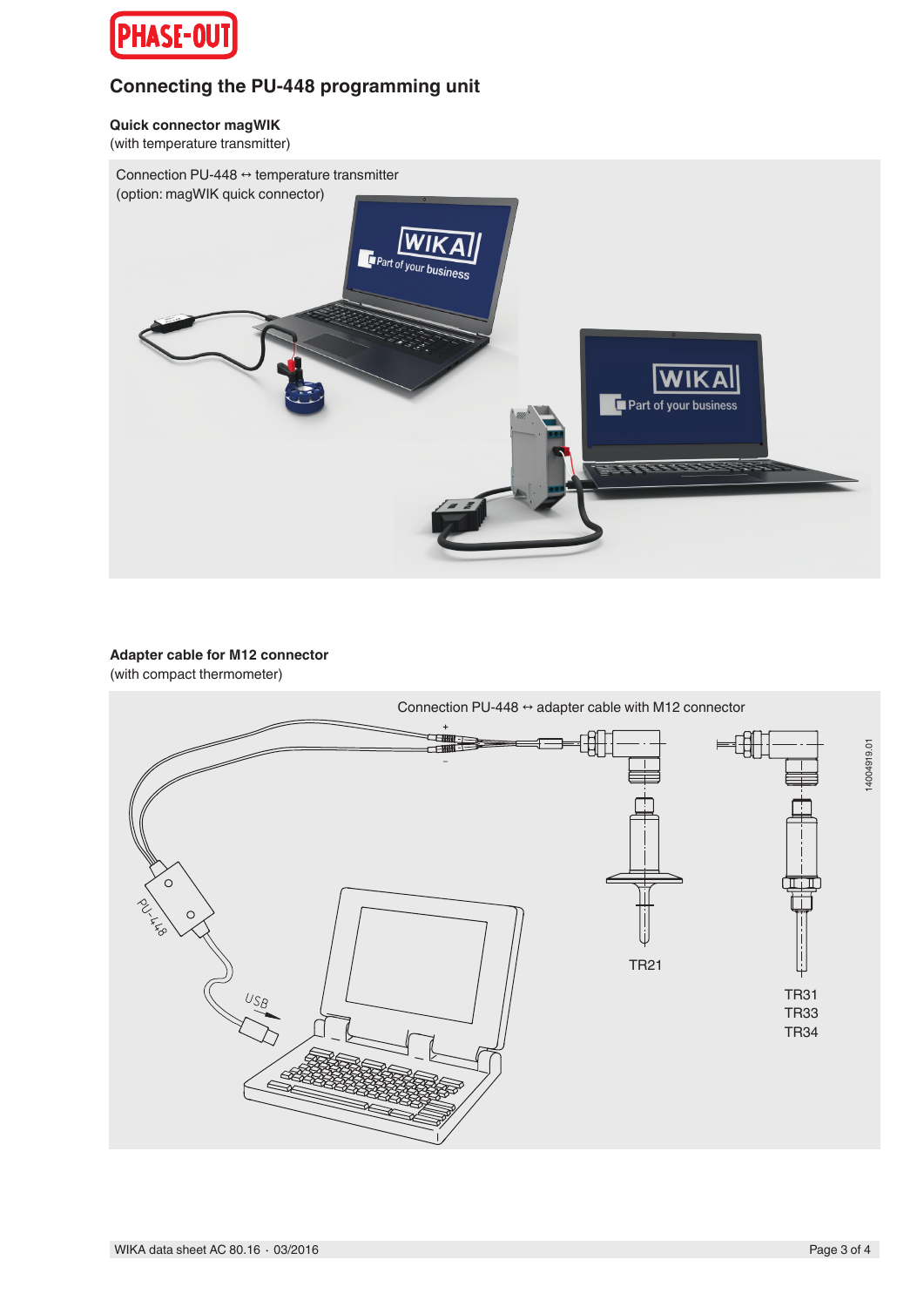

## **Connecting the PU-448 programming unit**

**Quick connector magWIK**

(with temperature transmitter)



#### **Adapter cable for M12 connector** (with compact thermometer)